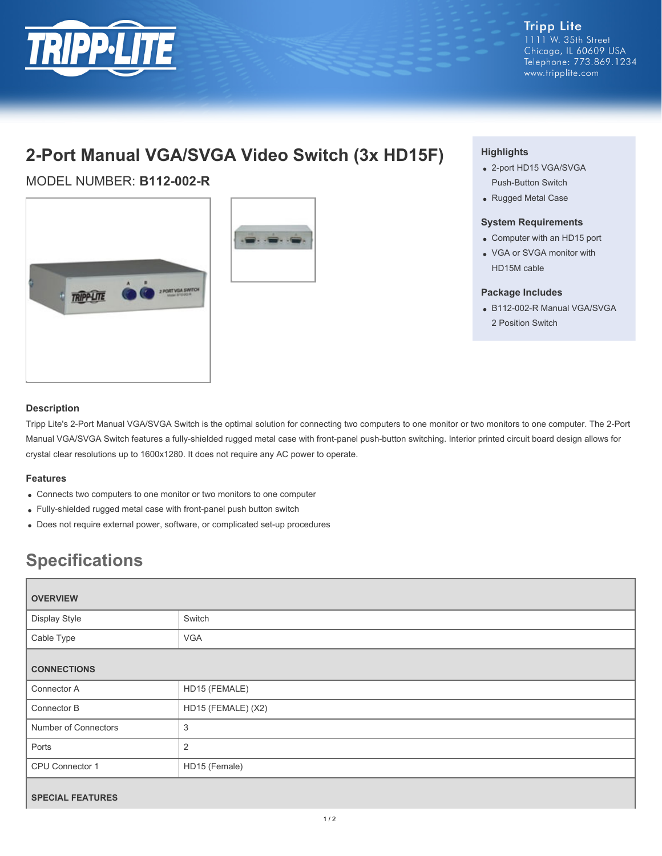

**Tripp Lite** 1111 W. 35th Street Chicago, IL 60609 USA Telephone: 773.869.1234 www.tripplite.com

# **2-Port Manual VGA/SVGA Video Switch (3x HD15F)**

# MODEL NUMBER: **B112-002-R**





## **Highlights**

- 2-port HD15 VGA/SVGA Push-Button Switch
- Rugged Metal Case

#### **System Requirements**

- Computer with an HD15 port
- VGA or SVGA monitor with HD15M cable

#### **Package Includes**

B112-002-R Manual VGA/SVGA 2 Position Switch

## **Description**

Tripp Lite's 2-Port Manual VGA/SVGA Switch is the optimal solution for connecting two computers to one monitor or two monitors to one computer. The 2-Port Manual VGA/SVGA Switch features a fully-shielded rugged metal case with front-panel push-button switching. Interior printed circuit board design allows for crystal clear resolutions up to 1600x1280. It does not require any AC power to operate.

### **Features**

- Connects two computers to one monitor or two monitors to one computer
- Fully-shielded rugged metal case with front-panel push button switch
- Does not require external power, software, or complicated set-up procedures

# **Specifications**

| <b>OVERVIEW</b>         |                    |
|-------------------------|--------------------|
| Display Style           | Switch             |
| Cable Type              | <b>VGA</b>         |
| <b>CONNECTIONS</b>      |                    |
| Connector A             | HD15 (FEMALE)      |
| Connector B             | HD15 (FEMALE) (X2) |
| Number of Connectors    | $\mathfrak{B}$     |
| Ports                   | 2                  |
| CPU Connector 1         | HD15 (Female)      |
| <b>SPECIAL FEATURES</b> |                    |